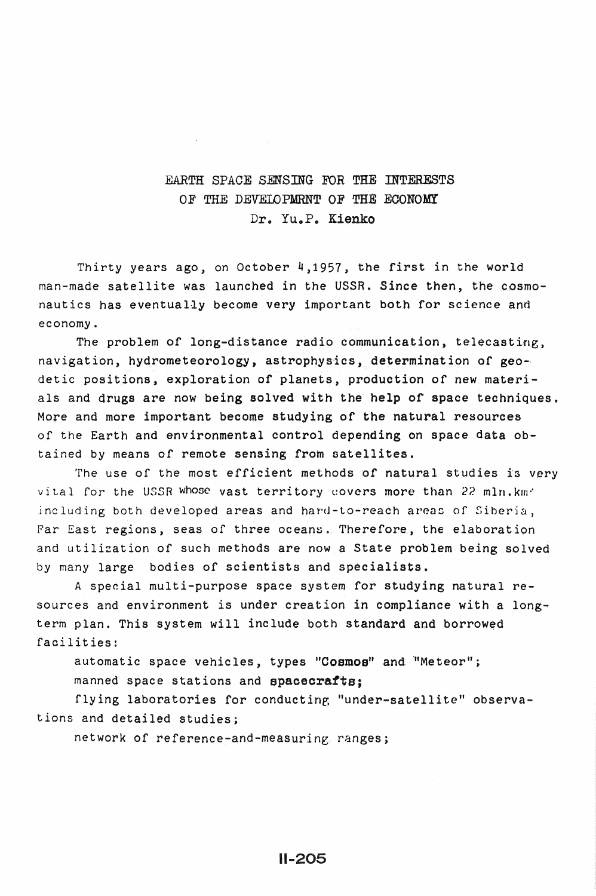## EARTH SPACE SENSING FOR THE INTERESTS OF THE DEVELOPMRNT OF THE ECONOMY Dr. Yu.P. Kienko

Thirty years ago, on October 4,1957, the first in the world man-made satellite was launched in the USSR. Since then, the cosmonautics has eventually become very important both for science and economy.

The problem of long-distance radio communication, telecasting, navigation, hydrometeorology, astrophysics, determination of geodetic positions, exploration of planets, production of new materials and drugs are now being solved with the help of space techniques. More and more important become studying of the natural resources of the Earth and environmental control depending on space data obtained by means of remote sensing from satellites.

The use of the most efficient methods of natural studies is very vital for the USSR whose vast territory covers more than 22 mln. km<sup>2</sup> including both developed areas and hard-to-reach areas of Siberia, Far East regions, seas of three oceans. Therefore, the elaboration and utilization of such methods are now a State problem being solved by many large bodies of scientists and specialists.

A special multi-purpose space system for studying natural resources and environment is under creation in compliance with a longterm plan. This system will include both standard and borrowed facilities:

automatic space vehicles, types "Cosmos" and "Meteor";

manned space stations and spacecrafts;

flying laboratories for conducting "under-satellite" observations and detailed studies;

network of reference-and-measuring. ranges;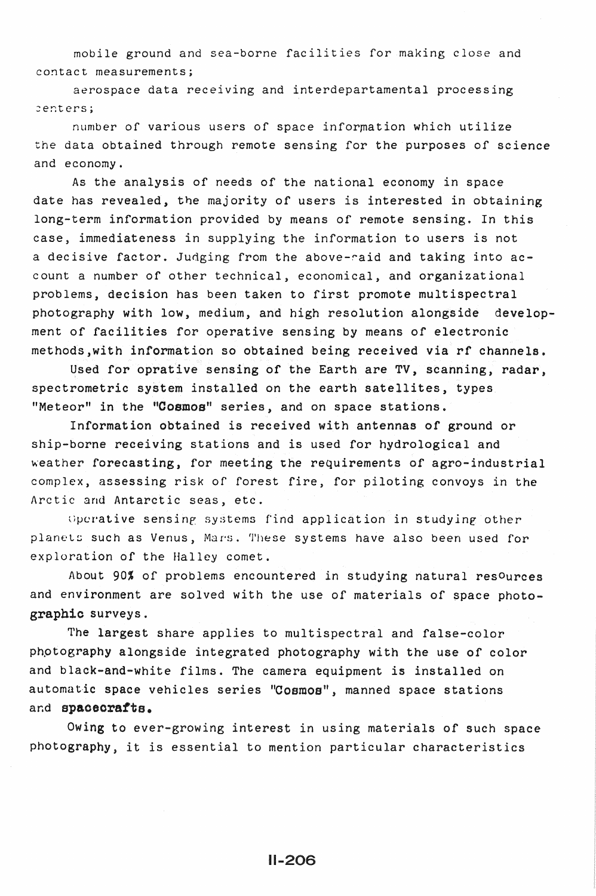mobile ground and sea-borne facilities for making close and contact measurements;

aerospace data receiving and interdepartamental processing ~enters;

number of various users of space information which utilize the data obtained through remote sensing for the purposes of science and economy.

As the analysis of needs of the national economy in space date has revealed, the majority of users is interested in obtaining long-term information provided by means of remote sensing. In this case, immediateness in supplying the information to users is not a decisive factor. Judging from the above-raid and taking into account a number of other technical, economical, and organizational problems, decision has been taken to first promote multispectral photography with low, medium, and high resolution alongside development of facilities for operative sensing by means of electronic methods,with information so obtained being received via rf channels.

Used for oprative sensing of the Earth are TV, scanning, radar, spectrometric system installed on the earth satellites, types "Meteor" in the "Cosmos" series, and on space stations.

Information obtained is received with antennas of ground or ship-borne receiving stations and is used for hydrological and weather forecasting, for meeting the requirements of agro-industrial complex, assessing risk of forest fire, for piloting convoys in the Arctic and Antarctic seas, etc.

Operative sensing systems find application in studying other planets such as Venus, Mars. These systems have also been used for exploration of the Halley comet.

About 90% of problems encountered in studying natural resources and environment are solved with the use of materials of space photographic surveys.

The largest share applies to multispectral and false-color phptography alongside integrated photography with the use of color and black-and-white films. The camera equipment is installed on automatic space vehicles series "Cosmos", manned space stations ar.d spaoeorafts.

Owing to ever-growing interest in using materials of such space photography, it is essential to mention particular characteristics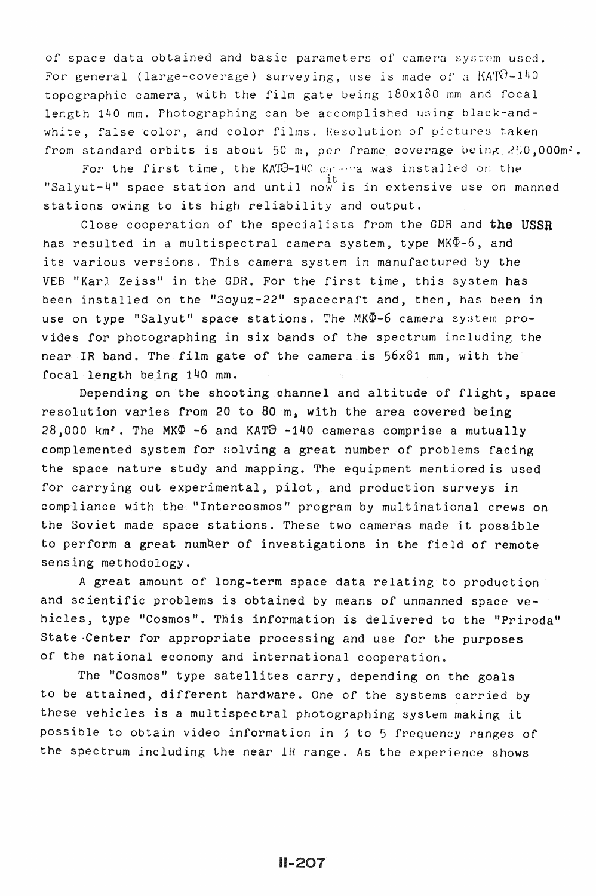of space data obtained and basic parameters of camera system used. For general (large-coverage) surveying, use is made of a  $KATO-140$ topographic camera, with the film gate being 180x180 mm and focal length 140 mm. Photographing can be accomplished using black-andwhite, false color, and color films. Resolution of pictures taken from standard orbits is about 50 m, per frame coverage being  $250,000$ m'.

For the first time, the KATO-140 carries was installed on the "Salyut-4" space station and until now is in extensive use on manned stations owing to its high reliability and output.

Close cooperation of the specialists from the GDR and the USSR has resulted in a multispectral camera system, type  $MK\Phi-6$ , and its various versions. This camera system in manufactured by the VEB "Karl Zeiss" in the GDR. For the first time, this system has been installed on the "Soyuz-22" spacecraft and, then, has been in use on type "Salyut" space stations. The MK  $\Phi$ -6 camera system provides for photographing in six bands of the spectrum including the near IR band. The film gate of the camera is 56x81 mm, with the focal length being 140 mm.

Depending on the shooting channel and altitude of flight, space resolution varies from 20 to 80 m, with the area covered being  $28,000$  km<sup>2</sup>. The MK $\Phi$  -6 and KAT $\Theta$  -140 cameras comprise a mutually complemented system for solving a great number of problems facing the space nature study and mapping. The equipment mentionedis used for carrying out experimental, pilot, and production surveys in compliance with the "Intercosmos" program by multinational crews on the Soviet made space stations. These two cameras made it possible to perform a great numQer of investigations *in* the field of remote sensing methodology.

A great amount of long-term space data relating to production and scientific problems is obtained by means of unmanned space vehicles, type "Cosmos". This information is delivered to the "Priroda" State ·Center for appropriate processing and use for the purposes of the national economy and international cooperation.

The "Cosmos" type satellites carry, depending on the goals to be attained, different hardware. One of the systems carried by these vehicles is a multispectral photographing system making it possible to obtain video information in 3 to 5 frequency ranges of the spectrum including the near IH range. As the experience shows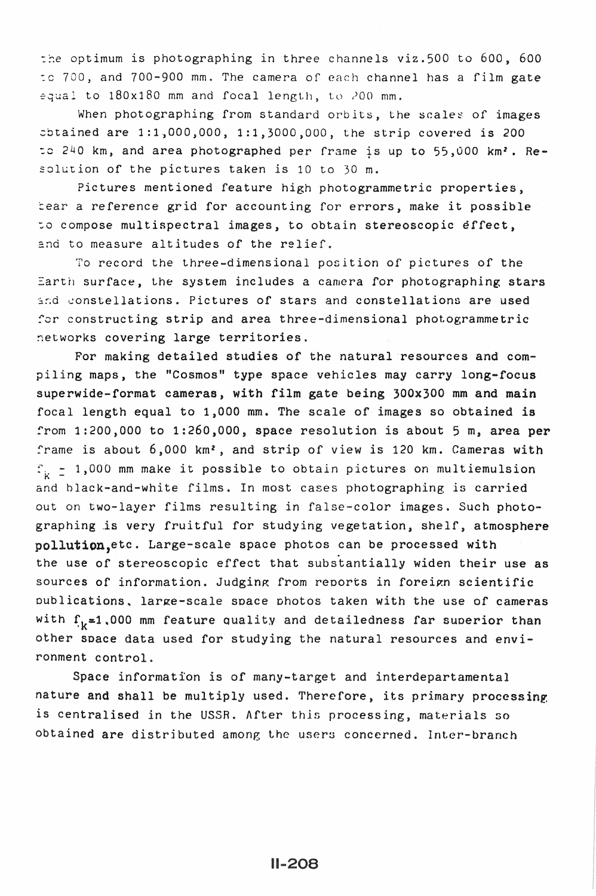the optimum is photographing in three channels viz.500 to 600, 600 :c 700, and 700-900 mm. The camera of each channel has a film gate  $e$ qual to  $180x180$  mm and focal length, to  $200$  mm.

When photographing from standard orbits, the scales of images  $\text{obtained are } 1:1,000,000, 1:1,3000,000, \text{ the strip covered is } 200$ to  $240$  km, and area photographed per frame is up to  $55,000$  km<sup>2</sup>. Resolution of the pictures taken is 10 to 30 m.

Pictures mentioned feature high photogrammetric properties, tear a reference grid for accounting for errors, make it possible :o compose multispectral images, to obtain stereoscopic effect, and to measure altitudes of the relief.

To record the three-dimensional position of pictures of the Earth surface, the system includes a camera for photographing stars and constellations. Pictures of stars and constellations are used for constructing strip and area three-dimensional photogrammetric networks covering large territories.

For making detailed studies of the natural resources and compiling maps, the "Cosmos" type space vehicles may carry long-focus superwide-format cameras, with film gate being 300x300 mm and main focal length equal to 1,000 mm. The scale of images so obtained is from 1:200,000 to 1:260,000, space resolution is about 5 m, area per frame is about 6,000 km<sup>2</sup>, and strip of view is 120 km. Cameras with  $\varepsilon_{k}$  = 1,000 mm make it possible to obtain pictures on multiemulsion and black-and-white films. In most cases photographing is carried out on two-layer films resulting in false-color images. Such photographing is very fruitful for studying vegetation, shelf, atmosphere pollution,etc. Large-scale space photos can be processed with the use of stereoscopic effect that substantially widen their use as sources of information. Judging from reports in foreign scientific publications, large-scale space photos taken with the use of cameras with  $f_k=1.000$  mm feature quality and detailedness far superior than other space data used for studying the natural resources and environment control.

Space information is of many-target and interdepartamental nature and shall be multiply used. Therefore, its primary processing is centralised in the USSR. After this processing, materials so obtained are distributed among the users concerned. Inter-branch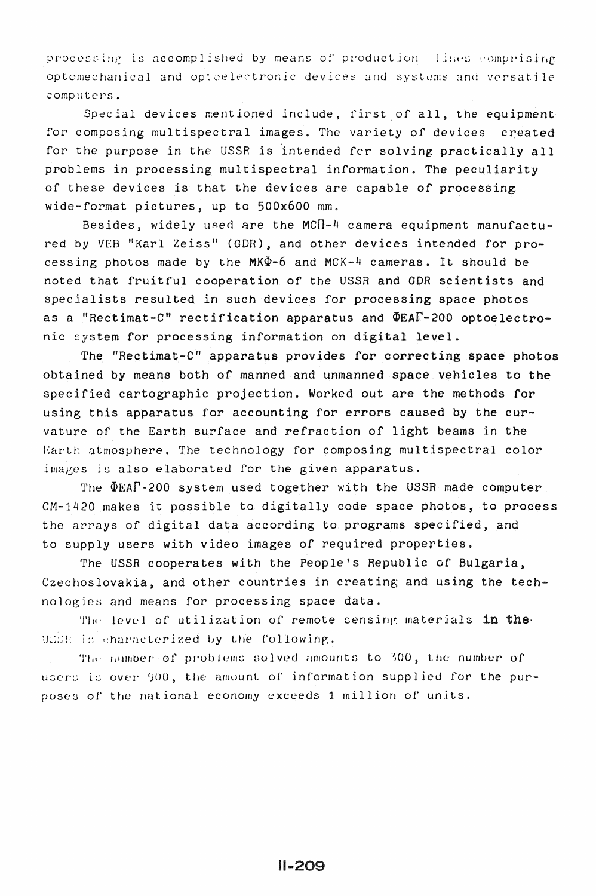processing is accomplished by means of production lines comprising optomechanical and optoelectronic devices and systems and versatile computers.

Special devices mentioned include, first of all, the equipment for composing multispectral images. The variety of devices created for the purpose in the USSR is intended for solving practically all problems in processing multispectral information. The peculiarity of these devices is that the devices are capable of processing wide-format pictures, up to 500x600 mm.

Besides, widely used are the MCN-4 camera equipment manufactured by VEB "Karl Zeiss" (GDR), and other devices intended for processing photos made by the MK $\Phi$ -6 and MCK-4 cameras. It should be noted that fruitful cooperation of the USSR and GDR scientists and specialists resulted in such devices for processing space photos as a "Rectimat-C" rectification apparatus and  $\Phi$ EAI-200 optoelectronic system for processing information on digital level.

The "Rectimat-C" apparatus provides for correcting space photos obtained by means both of manned and unmanned space vehicles to the specified cartographic projection. Worked out are the methods for using this apparatus for accounting for errors caused by the curvature of the Earth surface and refraction of light beams in the Earth atmosphere. The technology for composing multispectral color images is also elaborated for the given apparatus.

The  $\Phi$ EAP-200 system used together with the USSR made computer CM-1420 makes it possible to digitally code space photos, to process the arrays of digital data according to programs specified, and to supply users with video images of required properties.

The USSR cooperates with the People's Republic of Bulgaria, Czechoslovakia, and other countries in creating and using the technologies and means for processing space data.

The level of utilization of remote sensing materials in the UCER in characterized by the following.

The number of problems solved amounts to 300, the number of users is over 900, the amount of information supplied for the purposes of the national economy exceeds 1 million of units.